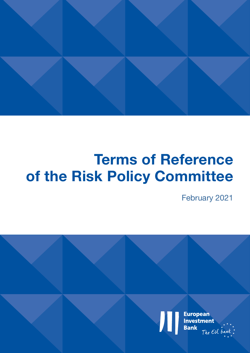

# **Terms of Reference of the Risk Policy Committee**

February 2021

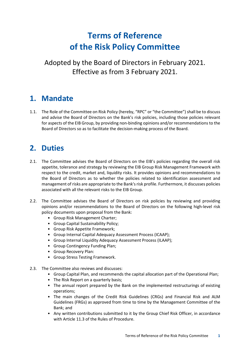# **Terms of Reference of the Risk Policy Committee**

Adopted by the Board of Directors in February 2021. Effective as from 3 February 2021.

# **1. Mandate**

1.1. The Role of the Committee on Risk Policy (hereby, "RPC" or "the Committee") shall be to discuss and advise the Board of Directors on the Bank's risk policies, including those policies relevant for aspects of the EIB Group, by providing non-binding opinions and/or recommendations to the Board of Directors so as to facilitate the decision-making process of the Board.

# **2. Duties**

- 2.1. The Committee advises the Board of Directors on the EIB's policies regarding the overall risk appetite, tolerance and strategy by reviewing the EIB Group Risk Management Framework with respect to the credit, market and, liquidity risks. It provides opinions and recommendations to the Board of Directors as to whether the policies related to identification assessment and management of risks are appropriate to the Bank's risk profile. Furthermore, it discusses policies associated with all the relevant risks to the EIB Group.
- 2.2. The Committee advises the Board of Directors on risk policies by reviewing and providing opinions and/or recommendations to the Board of Directors on the following high-level risk policy documents upon proposal from the Bank:
	- Group Risk Management Charter;
	- Group Capital Sustainability Policy;
	- Group Risk Appetite Framework;
	- Group Internal Capital Adequacy Assessment Process (ICAAP);
	- Group Internal Liquidity Adequacy Assessment Process (ILAAP);
	- Group Contingency Funding Plan;
	- Group Recovery Plan:
	- Group Stress Testing Framework.
- 2.3. The Committee also reviews and discusses:
	- Group Capital Plan, and recommends the capital allocation part of the Operational Plan;
	- The Risk Report on a quarterly basis;
	- The annual report prepared by the Bank on the implemented restructurings of existing operations;
	- The main changes of the Credit Risk Guidelines (CRGs) and Financial Risk and ALM Guidelines (FRGs) as approved from time to time by the Management Committee of the Bank; and
	- Any written contributions submitted to it by the Group Chief Risk Officer, in accordance with Article 11.3 of the Rules of Procedure.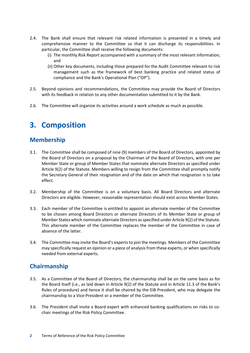- 2.4. The Bank shall ensure that relevant risk related information is presented in a timely and comprehensive manner to the Committee so that it can discharge its responsibilities. In particular, the Committee shall receive the following documents:
	- (i) The monthly Risk Report accompanied with a summary of the most relevant information; and
	- (ii) Other key documents, including those prepared for the Audit Committee relevant to risk management such as the framework of best banking practice and related status of compliance and the Bank's Operational Plan ("OP").
- 2.5. Beyond opinions and recommendations, the Committee may provide the Board of Directors with its feedback in relation to any other documentation submitted to it by the Bank.
- 2.6. The Committee will organize its activities around a work schedule as much as possible.

# **3. Composition**

#### **Membership**

- 3.1. The Committee shall be composed of nine (9) members of the Board of Directors, appointed by the Board of Directors on a proposal by the Chairman of the Board of Directors, with one per Member State or group of Member States that nominate alternate Directors as specified under Article 9(2) of the Statute. Members willing to resign from the Committee shall promptly notify the Secretary General of their resignation and of the date on which that resignation is to take effect.
- 3.2. Membership of the Committee is on a voluntary basis. All Board Directors and alternate Directors are eligible. However, reasonable representation should exist across Member States.
- 3.3. Each member of the Committee is entitled to appoint an alternate member of the Committee to be chosen among Board Directors or alternate Directors of its Member State or group of Member States which nominate alternate Directors as specified under Article 9(2) of the Statute. This alternate member of the Committee replaces the member of the Committee in case of absence of the latter.
- 3.4. The Committee may invite the Board's experts to join the meetings. Members of the Committee may specifically request an opinion or a piece of analysis from these experts, or when specifically needed from external experts.

#### **Chairmanship**

- 3.5. As a Committee of the Board of Directors, the chairmanship shall be on the same basis as for the Board itself (i.e., as laid down in Article 9(2) of the Statute and in Article 11.3 of the Bank's Rules of procedure) and hence it shall be chaired by the EIB President, who may delegate the chairmanship to a Vice-President or a member of the Committee.
- 3.6. The President shall invite a Board expert with enhanced banking qualifications on risks to cochair meetings of the Risk Policy Committee.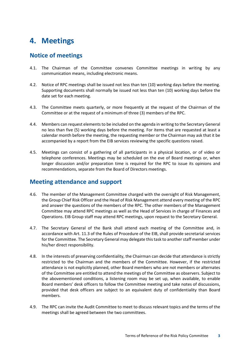## **4. Meetings**

#### **Notice of meetings**

- 4.1. The Chairman of the Committee convenes Committee meetings in writing by any communication means, including electronic means.
- 4.2. Notice of RPC meetings shall be issued not less than ten (10) working days before the meeting. Supporting documents shall normally be issued not less than ten (10) working days before the date set for each meeting.
- 4.3. The Committee meets quarterly, or more frequently at the request of the Chairman of the Committee or at the request of a minimum of three (3) members of the RPC.
- 4.4. Members can request elements to be included on the agenda in writing to the Secretary General no less than five (5) working days before the meeting. For items that are requested at least a calendar month before the meeting, the requesting member or the Chairman may ask that it be accompanied by a report from the EIB services reviewing the specific questions raised.
- 4.5. Meetings can consist of a gathering of all participants in a physical location, or of video or telephone conferences. Meetings may be scheduled on the eve of Board meetings or, when longer discussion and/or preparation time is required for the RPC to issue its opinions and recommendations, separate from the Board of Directors meetings.

#### **Meeting attendance and support**

- 4.6. The member of the Management Committee charged with the oversight of Risk Management, the Group Chief Risk Officer and the Head of Risk Management attend every meeting of the RPC and answer the questions of the members of the RPC. The other members of the Management Committee may attend RPC meetings as well as the Head of Services in charge of Finances and Operations. EIB Group staff may attend RPC meetings, upon request to the Secretary General.
- 4.7. The Secretary General of the Bank shall attend each meeting of the Committee and, in accordance with Art. 11.3 of the Rules of Procedure of the EIB, shall provide secretarial services for the Committee. The Secretary General may delegate this task to another staff member under his/her direct responsibility.
- 4.8. In the interests of preserving confidentiality, the Chairman can decide that attendance is strictly restricted to the Chairman and the members of the Committee. However, if the restricted attendance is not explicitly planned, other Board members who are not members or alternates of the Committee are entitled to attend the meetings of the Committee as observers. Subject to the abovementioned conditions, a listening room may be set up, when available, to enable Board members' desk officers to follow the Committee meeting and take notes of discussions, provided that desk officers are subject to an equivalent duty of confidentiality than Board members.
- 4.9. The RPC can invite the Audit Committee to meet to discuss relevant topics and the terms of the meetings shall be agreed between the two committees.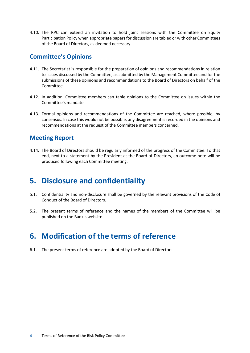4.10. The RPC can extend an invitation to hold joint sessions with the Committee on Equity Participation Policy when appropriate papers for discussion are tabled or with other Committees of the Board of Directors, as deemed necessary.

#### **Committee's Opinions**

- 4.11. The Secretariat is responsible for the preparation of opinions and recommendations in relation to issues discussed by the Committee, as submitted by the Management Committee and for the submissions of these opinions and recommendations to the Board of Directors on behalf of the Committee.
- 4.12. In addition, Committee members can table opinions to the Committee on issues within the Committee's mandate.
- 4.13. Formal opinions and recommendations of the Committee are reached, where possible, by consensus. In case this would not be possible, any disagreement is recorded in the opinions and recommendations at the request of the Committee members concerned.

#### **Meeting Report**

4.14. The Board of Directors should be regularly informed of the progress of the Committee. To that end, next to a statement by the President at the Board of Directors, an outcome note will be produced following each Committee meeting.

### **5. Disclosure and confidentiality**

- 5.1. Confidentiality and non-disclosure shall be governed by the relevant provisions of the Code of Conduct of the Board of Directors.
- 5.2. The present terms of reference and the names of the members of the Committee will be published on the Bank's website.

# **6. Modification of the terms of reference**

6.1. The present terms of reference are adopted by the Board of Directors.